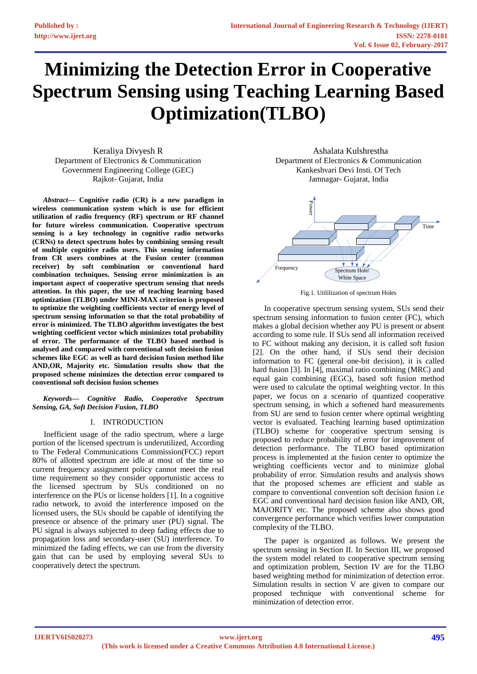# **Minimizing the Detection Error in Cooperative Spectrum Sensing using Teaching Learning Based Optimization(TLBO)**

Keraliya Divyesh R Department of Electronics & Communication Government Engineering College (GEC) Rajkot- Gujarat, India

*Abstract***— Cognitive radio (CR) is a new paradigm in wireless communication system which is use for efficient utilization of radio frequency (RF) spectrum or RF channel for future wireless communication. Cooperative spectrum sensing is a key technology in cognitive radio networks (CRNs) to detect spectrum holes by combining sensing result of multiple cognitive radio users. This sensing information from CR users combines at the Fusion center (common receiver) by soft combination or conventional hard combination techniques. Sensing error minimization is an important aspect of cooperative spectrum sensing that needs attention. In this paper, the use of teaching learning based optimization (TLBO) under MINI-MAX criterion is proposed to optimize the weighting coefficients vector of energy level of spectrum sensing information so that the total probability of error is minimized. The TLBO algorithm investigates the best weighting coefficient vector which minimizes total probability of error. The performance of the TLBO based method is analysed and compared with conventional soft decision fusion schemes like EGC as well as hard decision fusion method like AND,OR, Majority etc. Simulation results show that the proposed scheme minimizes the detection error compared to conventional soft decision fusion schemes**

*Keywords— Cognitive Radio, Cooperative Spectrum Sensing, GA, Soft Decision Fusion, TLBO*

# I. INTRODUCTION

Inefficient usage of the radio spectrum, where a large portion of the licensed spectrum is underutilized, According to The Federal Communications Commission(FCC) report 80% of allotted spectrum are idle at most of the time so current frequency assignment policy cannot meet the real time requirement so they consider opportunistic access to the licensed spectrum by SUs conditioned on no interference on the PUs or license holders [1]. In a cognitive radio network, to avoid the interference imposed on the licensed users, the SUs should be capable of identifying the presence or absence of the primary user (PU) signal. The PU signal is always subjected to deep fading effects due to propagation loss and secondary-user (SU) interference. To minimized the fading effects, we can use from the diversity gain that can be used by employing several SUs to cooperatively detect the spectrum.

Ashalata Kulshrestha Department of Electronics & Communication Kankeshvari Devi Insti. Of Tech Jamnagar- Gujarat, India





In cooperative spectrum sensing system, SUs send their spectrum sensing information to fusion center (FC), which makes a global decision whether any PU is present or absent according to some rule. If SUs send all information received to FC without making any decision, it is called soft fusion [2]. On the other hand, if SUs send their decision information to FC (general one-bit decision), it is called hard fusion [3]. In [4], maximal ratio combining (MRC) and equal gain combining (EGC), based soft fusion method were used to calculate the optimal weighting vector. In this paper, we focus on a scenario of quantized cooperative spectrum sensing, in which a softened hard measurements from SU are send to fusion center where optimal weighting vector is evaluated. Teaching learning based optimization (TLBO) scheme for cooperative spectrum sensing is proposed to reduce probability of error for improvement of detection performance. The TLBO based optimization process is implemented at the fusion center to optimize the weighting coefficients vector and to minimize global probability of error. Simulation results and analysis shows that the proposed schemes are efficient and stable as compare to conventional convention soft decision fusion i.e EGC and conventional hard decision fusion like AND, OR, MAJORITY etc. The proposed scheme also shows good convergence performance which verifies lower computation complexity of the TLBO.

The paper is organized as follows. We present the spectrum sensing in Section II. In Section III, we proposed the system model related to cooperative spectrum sensing and optimization problem, Section IV are for the TLBO based weighting method for minimization of detection error. Simulation results in section V are given to compare our proposed technique with conventional scheme for minimization of detection error.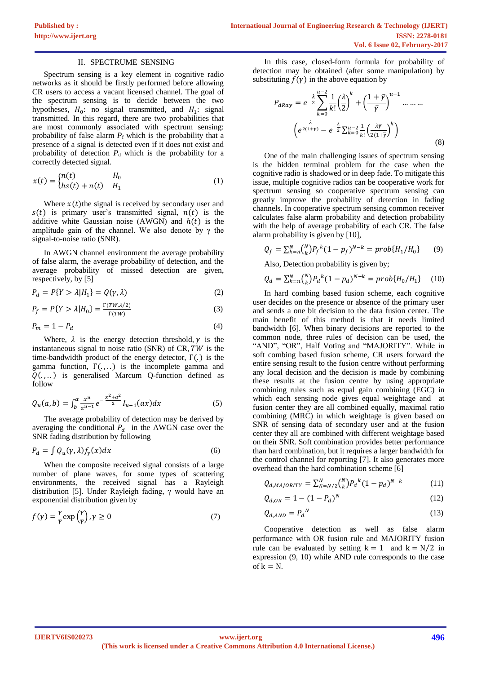### II. SPECTRUME SENSING

Spectrum sensing is a key element in cognitive radio networks as it should be firstly performed before allowing CR users to access a vacant licensed channel. The goal of the spectrum sensing is to decide between the two hypotheses,  $H_0$ : no signal transmitted, and  $H_1$ : signal transmitted. In this regard, there are two probabilities that are most commonly associated with spectrum sensing: probability of false alarm  $P_f$  which is the probability that a presence of a signal is detected even if it does not exist and probability of detection  $P_d$  which is the probability for a correctly detected signal.

$$
x(t) = \begin{cases} n(t) & H_0 \\ h s(t) + n(t) & H_1 \end{cases}
$$
 (1)

Where  $x(t)$ the signal is received by secondary user and  $s(t)$  is primary user's transmitted signal,  $n(t)$  is the additive white Gaussian noise (AWGN) and  $h(t)$  is the amplitude gain of the channel. We also denote by  $\gamma$  the signal-to-noise ratio (SNR).

In AWGN channel environment the average probability of false alarm, the average probability of detection, and the average probability of missed detection are given, respectively, by [5]

$$
P_d = P\{Y > \lambda | H_1\} = Q(\gamma, \lambda)
$$
\n(2)

$$
P_f = P\{Y > \lambda | H_0\} = \frac{\Gamma(TW, \lambda/2)}{\Gamma(TW)}\tag{3}
$$

$$
P_m = 1 - P_d \tag{4}
$$

Where,  $\lambda$  is the energy detection threshold,  $\gamma$  is the instantaneous signal to noise ratio (SNR) of  $CR, TW$  is the time-bandwidth product of the energy detector, Γ(. ) is the gamma function,  $\Gamma(\ldots)$  is the incomplete gamma and  $Q(\ldots)$  is generalised Marcum Q-function defined as follow

$$
Q_u(a,b) = \int_b^a \frac{x^u}{a^{u-1}} e^{-\frac{x^2 + a^2}{2}} I_{u-1}(ax) dx \tag{5}
$$

The average probability of detection may be derived by averaging the conditional  $P_d$  in the AWGN case over the SNR fading distribution by following

$$
P_d = \int Q_u(\gamma, \lambda) f_\gamma(x) dx \tag{6}
$$

When the composite received signal consists of a large number of plane waves, for some types of scattering environments, the received signal has a Rayleigh distribution [5]. Under Rayleigh fading, γ would have an exponential distribution given by

$$
f(\gamma) = \frac{\gamma}{\overline{\gamma}} \exp\left(\frac{\gamma}{\overline{\gamma}}\right), \gamma \ge 0
$$
\n<sup>(7)</sup>

In this case, closed-form formula for probability of detection may be obtained (after some manipulation) by substituting  $f(\gamma)$  in the above equation by

$$
P_{dRay} = e^{-\frac{\lambda}{2}} \sum_{k=0}^{u-2} \frac{1}{k!} \left(\frac{\lambda}{2}\right)^k + \left(\frac{1+\bar{\gamma}}{\bar{\gamma}}\right)^{u-1} \dots \dots \dots
$$

$$
\left(e^{\frac{\lambda}{2(1+\gamma)}} - e^{-\frac{\lambda}{2}} \sum_{k=0}^{u-2} \frac{1}{k!} \left(\frac{\lambda \bar{\gamma}}{2(1+\bar{\gamma}}\right)^k\right)
$$
(8)

One of the main challenging issues of spectrum sensing is the hidden terminal problem for the case when the cognitive radio is shadowed or in deep fade. To mitigate this issue, multiple cognitive radios can be cooperative work for spectrum sensing so cooperative spectrum sensing can greatly improve the probability of detection in fading channels. In cooperative spectrum sensing common receiver calculates false alarm probability and detection probability with the help of average probability of each CR. The false alarm probability is given by [10],

$$
Q_f = \sum_{k=n}^{N} {N \choose k} P_f^k (1 - p_f)^{N-k} = prob\{H_1/H_0\}
$$
 (9)

Also, Detection probability is given by;

$$
Q_d = \sum_{k=1}^{N} {N \choose k} P_d{}^k (1 - p_d)^{N-k} = prob\{H_0 / H_1\} \quad (10)
$$

In hard combing based fusion scheme, each cognitive user decides on the presence or absence of the primary user and sends a one bit decision to the data fusion center. The main benefit of this method is that it needs limited bandwidth [6]. When binary decisions are reported to the common node, three rules of decision can be used, the "AND", "OR", Half Voting and "MAJORITY". While in soft combing based fusion scheme, CR users forward the entire sensing result to the fusion centre without performing any local decision and the decision is made by combining these results at the fusion centre by using appropriate combining rules such as equal gain combining (EGC) in which each sensing node gives equal weightage and at fusion center they are all combined equally, maximal ratio combining (MRC) in which weightage is given based on SNR of sensing data of secondary user and at the fusion center they all are combined with different weightage based on their SNR. Soft combination provides better performance than hard combination, but it requires a larger bandwidth for the control channel for reporting [7]. It also generates more overhead than the hard combination scheme [6]

$$
Q_{d,MAJORITY} = \sum_{K=N/2}^{N} {N \choose k} P_a^{k} (1 - p_a)^{N-k}
$$
 (11)

$$
Q_{d,OR} = 1 - (1 - P_d)^N
$$
 (12)

$$
Q_{d,AND} = P_d{}^N \tag{13}
$$

Cooperative detection as well as false alarm performance with OR fusion rule and MAJORITY fusion rule can be evaluated by setting  $k = 1$  and  $k = N/2$  in expression (9, 10) while AND rule corresponds to the case of  $k = N$ .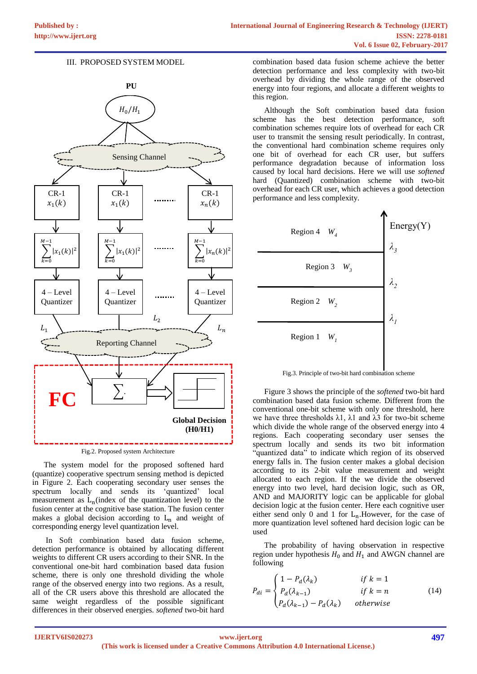## III. PROPOSED SYSTEM MODEL



Fig.2. Proposed system Architecture

The system model for the proposed softened hard (quantize) cooperative spectrum sensing method is depicted in Figure 2. Each cooperating secondary user senses the spectrum locally and sends its 'quantized' local measurement as  $L_n$  (index of the quantization level) to the fusion center at the cognitive base station. The fusion center makes a global decision according to  $L_n$  and weight of corresponding energy level quantization level.

In Soft combination based data fusion scheme, detection performance is obtained by allocating different weights to different CR users according to their SNR. In the conventional one-bit hard combination based data fusion scheme, there is only one threshold dividing the whole range of the observed energy into two regions. As a result, all of the CR users above this threshold are allocated the same weight regardless of the possible significant differences in their observed energies. *softened* two-bit hard

combination based data fusion scheme achieve the better detection performance and less complexity with two-bit overhead by dividing the whole range of the observed energy into four regions, and allocate a different weights to this region.

Although the Soft combination based data fusion scheme has the best detection performance, soft combination schemes require lots of overhead for each CR user to transmit the sensing result periodically. In contrast, the conventional hard combination scheme requires only one bit of overhead for each CR user, but suffers performance degradation because of information loss caused by local hard decisions. Here we will use *softened* hard (Quantized) combination scheme with two-bit overhead for each CR user, which achieves a good detection performance and less complexity.



Fig.3. Principle of two-bit hard combination scheme

Figure 3 shows the principle of the *softened* two-bit hard combination based data fusion scheme. Different from the conventional one-bit scheme with only one threshold, here we have three thresholds  $\lambda$ 1,  $\lambda$ 1 and  $\lambda$ 3 for two-bit scheme which divide the whole range of the observed energy into 4 regions. Each cooperating secondary user senses the spectrum locally and sends its two bit information "quantized data" to indicate which region of its observed energy falls in. The fusion center makes a global decision according to its 2-bit value measurement and weight allocated to each region. If the we divide the observed energy into two level, hard decision logic, such as OR, AND and MAJORITY logic can be applicable for global decision logic at the fusion center. Here each cognitive user either send only 0 and 1 for  $L_n$ . However, for the case of more quantization level softened hard decision logic can be used

The probability of having observation in respective region under hypothesis  $H_0$  and  $H_1$  and AWGN channel are following

$$
P_{di} = \begin{cases} 1 - P_d(\lambda_k) & \text{if } k = 1\\ P_d(\lambda_{k-1}) & \text{if } k = n\\ P_d(\lambda_{k-1}) - P_d(\lambda_k) & \text{otherwise} \end{cases} \tag{14}
$$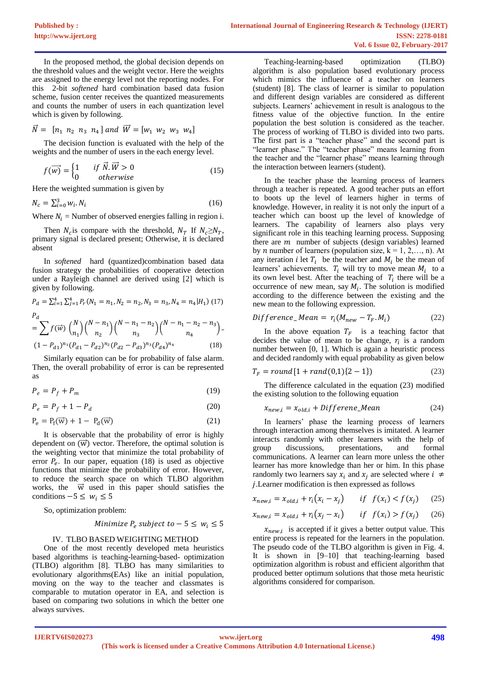In the proposed method, the global decision depends on the threshold values and the weight vector. Here the weights are assigned to the energy level not the reporting nodes. For this 2-bit *softened* hard combination based data fusion scheme, fusion center receives the quantized measurements and counts the number of users in each quantization level which is given by following.

$$
\vec{N} = [n_1 \ n_2 \ n_3 \ n_4] \ and \ \vec{W} = [w_1 \ w_2 \ w_3 \ w_4]
$$

The decision function is evaluated with the help of the weights and the number of users in the each energy level.

$$
f(\overrightarrow{w}) = \begin{cases} 1 & \text{if } \overrightarrow{N} \cdot \overrightarrow{W} > 0 \\ 0 & \text{otherwise} \end{cases}
$$
 (15)

Here the weighted summation is given by

$$
N_c = \sum_{i=0}^{3} w_i \cdot N_i \tag{16}
$$

Where  $N_i$  = Number of observed energies falling in region i.

Then  $N_c$  is compare with the threshold,  $N_T$  If  $N_c \ge N_T$ , primary signal is declared present; Otherwise, it is declared absent

In *softened* hard (quantized)combination based data fusion strategy the probabilities of cooperative detection under a Rayleigh channel are derived using [2] which is given by following.

$$
P_d = \sum_{i=1}^4 \sum_{j=1}^4 P_r (N_1 = n_1, N_2 = n_2, N_3 = n_3, N_4 = n_4 | H_1) (17)
$$
  
\n
$$
P_d
$$
\n
$$
= \sum f(\vec{w}) {N \choose n_1} {N - n_1 \choose n_2} {N - n_1 - n_2 \choose n_3} {N - n_1 - n_2 - n_3 \choose n_4}.
$$
  
\n
$$
(1 - P_{d1})^{n_1} (P_{d1} - P_{d2})^{n_2} (P_{d2} - P_{d3})^{n_3} (P_{d4})^{n_4}
$$
\n(18)

Similarly equation can be for probability of false alarm. Then, the overall probability of error is can be represented as

$$
P_e = P_f + P_m \tag{19}
$$

$$
P_e = P_f + 1 - P_d \tag{20}
$$

$$
P_e = P_f(\vec{w}) + 1 - P_d(\vec{w})
$$
\n(21)

It is observable that the probability of error is highly dependent on  $(\vec{w})$  vector. Therefore, the optimal solution is the weighting vector that minimize the total probability of error  $P_e$ . In our paper, equation (18) is used as objective functions that minimize the probability of error. However, to reduce the search space on which TLBO algorithm works, the  $\vec{w}$  used in this paper should satisfies the conditions  $-5 \leq w_i \leq 5$ 

So, optimization problem:

Minimize 
$$
P_e
$$
 subject to  $-5 \leq w_i \leq 5$ 

# IV. TLBO BASED WEIGHTING METHOD

One of the most recently developed meta heuristics based algorithms is teaching-learning-based- optimization (TLBO) algorithm [8]. TLBO has many similarities to evolutionary algorithms(EAs) like an initial population, moving on the way to the teacher and classmates is comparable to mutation operator in EA, and selection is based on comparing two solutions in which the better one always survives.

Teaching-learning-based optimization (TLBO) algorithm is also population based evolutionary process which mimics the influence of a teacher on learners (student) [8]. The class of learner is similar to population and different design variables are considered as different subjects. Learners' achievement in result is analogous to the fitness value of the objective function. In the entire population the best solution is considered as the teacher. The process of working of TLBO is divided into two parts. The first part is a "teacher phase" and the second part is "learner phase." The "teacher phase" means learning from the teacher and the "learner phase" means learning through the interaction between learners (student).

In the teacher phase the learning process of learners through a teacher is repeated. A good teacher puts an effort to boots up the level of learners higher in terms of knowledge. However, in reality it is not only the inpurt of a teacher which can boost up the level of knowledge of learners. The capability of learners also plays very significant role in this teaching learning process. Supposing there are  $m$  number of subjects (design variables) learned by *n* number of learners (population size,  $k = 1, 2, \ldots, n$ ). At any iteration *i* let  $T_i$  be the teacher and  $M_i$  be the mean of learners' achievements.  $T_i$  will try to move mean  $M_i$  to a its own level best. After the teaching of  $T_i$  there will be a occurrence of new mean, say  $M_i$ . The solution is modified according to the difference between the existing and the new mean to the following expression.

$$
Difference\_Mean = r_i(M_{new} - T_F.M_i)
$$
 (22)

In the above equation  $T_F$  is a teaching factor that decides the value of mean to be change,  $r_i$  is a random number between [0, 1]. Which is again a heuristic process and decided randomly with equal probability as given below

$$
T_F = round[1 + rand(0,1)\{2 - 1\})
$$
\n(23)

The difference calculated in the equation (23) modified the existing solution to the following equation

$$
x_{new,i} = x_{old,i} + Difference\_Mean
$$
 (24)

In learners' phase the learning process of learners through interaction among themselves is imitated. A learner interacts randomly with other learners with the help of group discussions, presentations, and formal communications. A learner can learn more unless the other learner has more knowledge than her or him. In this phase randomly two learners say  $x_i$  and  $x_j$  are selected where  $i \neq$ .Learner modification is then expressed as follows

$$
x_{new,i} = x_{old,i} + r_i(x_i - x_j) \qquad \text{if} \quad f(x_i) < f(x_j) \tag{25}
$$

$$
x_{new,i} = x_{old,i} + r_i(x_j - x_i) \qquad \text{if} \quad f(x_i) > f(x_j) \tag{26}
$$

 $x_{new,i}$  is accepted if it gives a better output value. This entire process is repeated for the learners in the population. The pseudo code of the TLBO algorithm is given in Fig. 4. It is shown in [9–10] that teaching-learning based optimization algorithm is robust and efficient algorithm that produced better optimum solutions that those meta heuristic algorithms considered for comparison.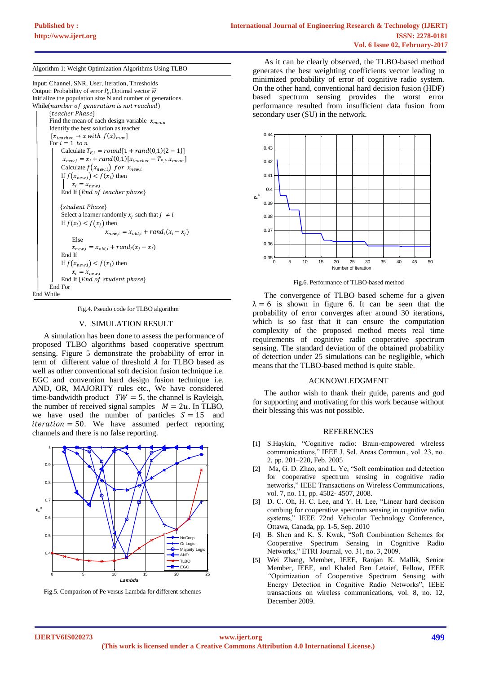Algorithm 1: Weight Optimization Algorithms Using TLBO

Input: Channel, SNR, User, Iteration, Thresholds Output: Probability of error  $P_e$ , Optimal vector  $\vec{w}$ Initialize the population size N and number of generations. While(number of generation is not reached)

{teacher Phase} Find the mean of each design variable  $x_{mean}$ Identify the best solution as teacher  $[x_{teacher} \rightarrow x \, with \, f(x)_{max}]$ For  $i = 1$  to n Calculate  $T_{F,i} = round[1 + rand(0,1){2 - 1}]$  $x_{new,i} = x_i + rand(0,1)[x_{teacher} - T_{F,i}.x_{mean}]$ Calculate  $f(x_{new,i})$  for  $x_{new,i}$ If  $f(x_{new,i}) < f(x_i)$  then  $x_i = x_{new,i}$ End If {End of teacher phase} {student Phase} Select a learner randomly  $x_j$  such that  $j \neq i$ If  $f(x_i) < f(x_j)$  then  $x_{new,i} = x_{old,i} + rand_i(x_i - x_j)$ Else  $x_{new,i} = x_{old,i} + rand_i(x_j - x_i)$ End If If  $f(x_{new,i}) < f(x_i)$  then  $x_i = x_{new,i}$ End If  ${End of student phase}$ End For End While

Fig.4. Pseudo code for TLBO algorithm

#### V. SIMULATION RESULT

A simulation has been done to assess the performance of proposed TLBO algorithms based cooperative spectrum sensing. Figure 5 demonstrate the probability of error in term of different value of threshold  $\lambda$  for TLBO based as well as other conventional soft decision fusion technique i.e. EGC and convention hard design fusion technique i.e. AND, OR, MAJORITY rules etc., We have considered time-bandwidth product  $TW = 5$ , the channel is Rayleigh, the number of received signal samples  $M = 2u$ . In TLBO, we have used the number of particles  $S = 15$  and  $iteration = 50$ . We have assumed perfect reporting channels and there is no false reporting.



Fig.5. Comparison of Pe versus Lambda for different schemes

As it can be clearly observed, the TLBO-based method generates the best weighting coefficients vector leading to minimized probability of error of cognitive radio system. On the other hand, conventional hard decision fusion (HDF) based spectrum sensing provides the worst error performance resulted from insufficient data fusion from secondary user (SU) in the network.



Fig.6. Performance of TLBO-based method

The convergence of TLBO based scheme for a given  $\lambda = 6$  is shown in figure 6. It can be seen that the probability of error converges after around 30 iterations, which is so fast that it can ensure the computation complexity of the proposed method meets real time requirements of cognitive radio cooperative spectrum sensing. The standard deviation of the obtained probability of detection under 25 simulations can be negligible, which means that the TLBO-based method is quite stable.

#### ACKNOWLEDGMENT

The author wish to thank their guide, parents and god for supporting and motivating for this work because without their blessing this was not possible.

#### REFERENCES

- [1] S.Haykin, "Cognitive radio: Brain-empowered wireless communications," IEEE J. Sel. Areas Commun., vol. 23, no. 2, pp. 201–220, Feb. 2005
- [2] Ma, G. D. Zhao, and L. Ye, "Soft combination and detection for cooperative spectrum sensing in cognitive radio networks," IEEE Transactions on Wireless Communications, vol. 7, no. 11, pp. 4502- 4507, 2008.
- [3] D. C. Oh, H. C. Lee, and Y. H. Lee, "Linear hard decision combing for cooperative spectrum sensing in cognitive radio systems," IEEE 72nd Vehicular Technology Conference, Ottawa, Canada, pp. 1-5, Sep. 2010
- [4] B. Shen and K. S. Kwak, "Soft Combination Schemes for Cooperative Spectrum Sensing in Cognitive Radio Networks," ETRI Journal, vo. 31, no. 3, 2009.
- [5] Wei Zhang, Member, IEEE, Ranjan K. Mallik, Senior Member, IEEE, and Khaled Ben Letaief, Fellow, IEEE *"*Optimization of Cooperative Spectrum Sensing with Energy Detection in Cognitive Radio Networks", IEEE transactions on wireless communications, vol. 8, no. 12, December 2009.